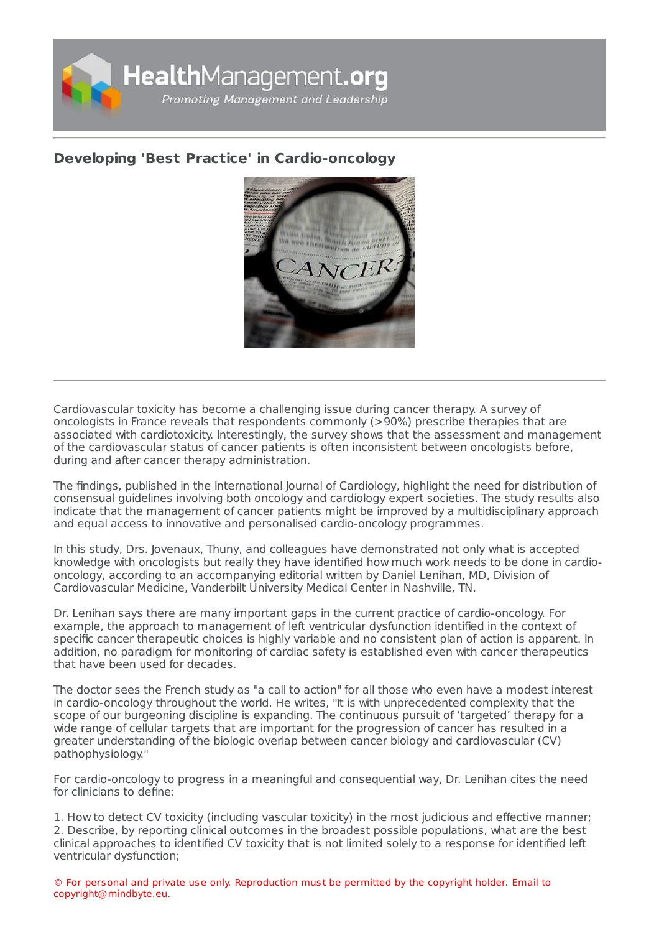

## **Developing 'Best Practice' in [Cardio-oncology](https://healthmanagement.org/s/developing-best-practice-in-cardio-oncology)**



Cardiovascular toxicity has become a challenging issue during cancer therapy. A survey of oncologists in France reveals that respondents commonly (>90%) prescribe therapies that are associated with cardiotoxicity. Interestingly, the survey shows that the assessment and management of the cardiovascular status of cancer patients is often inconsistent between oncologists before, during and after cancer therapy administration.

The findings, published in the International Journal of Cardiology, highlight the need for distribution of consensual guidelines involving both oncology and cardiology expert societies. The study results also indicate that the management of cancer patients might be improved by a multidisciplinary approach and equal access to innovative and personalised cardio-oncology programmes.

In this study, Drs. Jovenaux, Thuny, and colleagues have demonstrated not only what is accepted knowledge with oncologists but really they have identified how much work needs to be done in cardiooncology, according to an accompanying editorial written by Daniel Lenihan, MD, Division of Cardiovascular Medicine, Vanderbilt University Medical Center in Nashville, TN.

Dr. Lenihan says there are many important gaps in the current practice of cardio-oncology. For example, the approach to management of left ventricular dysfunction identified in the context of specific cancer therapeutic choices is highly variable and no consistent plan of action is apparent. In addition, no paradigm for monitoring of cardiac safety is established even with cancer therapeutics that have been used for decades.

The doctor sees the French study as "a call to action" for all those who even have a modest interest in cardio-oncology throughout the world. He writes, "It is with unprecedented complexity that the scope of our burgeoning discipline is expanding. The continuous pursuit of 'targeted' therapy for a wide range of cellular targets that are important for the progression of cancer has resulted in a greater understanding of the biologic overlap between cancer biology and cardiovascular (CV) pathophysiology."

For cardio-oncology to progress in a meaningful and consequential way, Dr. Lenihan cites the need for clinicians to define:

1. How to detect CV toxicity (including vascular toxicity) in the most judicious and effective manner;

2. Describe, by reporting clinical outcomes in the broadest possible populations, what are the best clinical approaches to identified CV toxicity that is not limited solely to a response for identified left ventricular dysfunction;

© For personal and private use only. Reproduction must be permitted by the copyright holder. Email to copyright@mindbyte.eu.